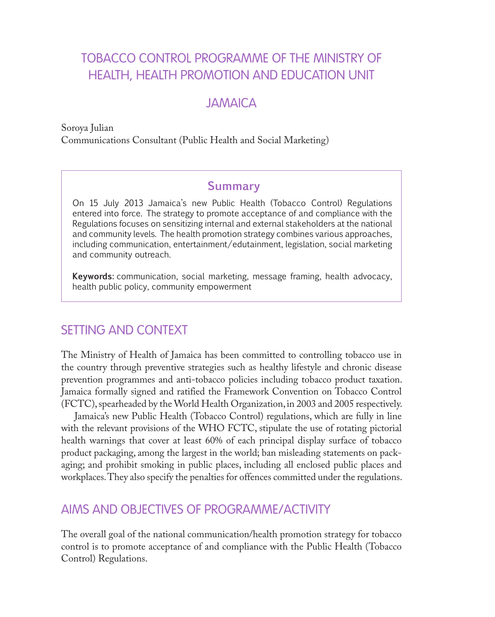# TOBACCO CONTROL PROGRAMME OF THE MINISTRY OF HEALTH, HEALTH PROMOTION AND EDUCATION UNIT

### JAMAICA

Soroya Julian Communications Consultant (Public Health and Social Marketing)

#### **Summary**

On 15 July 2013 Jamaica's new Public Health (Tobacco Control) Regulations entered into force. The strategy to promote acceptance of and compliance with the Regulations focuses on sensitizing internal and external stakeholders at the national and community levels. The health promotion strategy combines various approaches, including communication, entertainment/edutainment, legislation, social marketing and community outreach.

**Keywords:** communication, social marketing, message framing, health advocacy, health public policy, community empowerment

## SETTING AND CONTEXT

The Ministry of Health of Jamaica has been committed to controlling tobacco use in the country through preventive strategies such as healthy lifestyle and chronic disease prevention programmes and anti-tobacco policies including tobacco product taxation. Jamaica formally signed and ratified the Framework Convention on Tobacco Control (FCTC), spearheaded by the World Health Organization, in 2003 and 2005 respectively.

Jamaica's new Public Health (Tobacco Control) regulations, which are fully in line with the relevant provisions of the WHO FCTC, stipulate the use of rotating pictorial health warnings that cover at least 60% of each principal display surface of tobacco product packaging, among the largest in the world; ban misleading statements on packaging; and prohibit smoking in public places, including all enclosed public places and workplaces. They also specify the penalties for offences committed under the regulations.

## AIMS AND OBJECTIVES OF PROGRAMME/ACTIVITY

The overall goal of the national communication/health promotion strategy for tobacco control is to promote acceptance of and compliance with the Public Health (Tobacco Control) Regulations.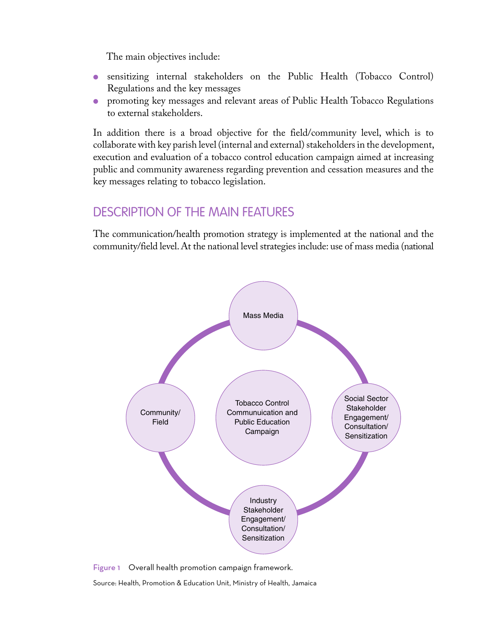The main objectives include:

- sensitizing internal stakeholders on the Public Health (Tobacco Control) Regulations and the key messages
- promoting key messages and relevant areas of Public Health Tobacco Regulations to external stakeholders.

In addition there is a broad objective for the field/community level, which is to collaborate with key parish level (internal and external) stakeholders in the development, execution and evaluation of a tobacco control education campaign aimed at increasing public and community awareness regarding prevention and cessation measures and the key messages relating to tobacco legislation.

# Description of the main features

The communication/health promotion strategy is implemented at the national and the community/field level. At the national level strategies include: use of mass media (national





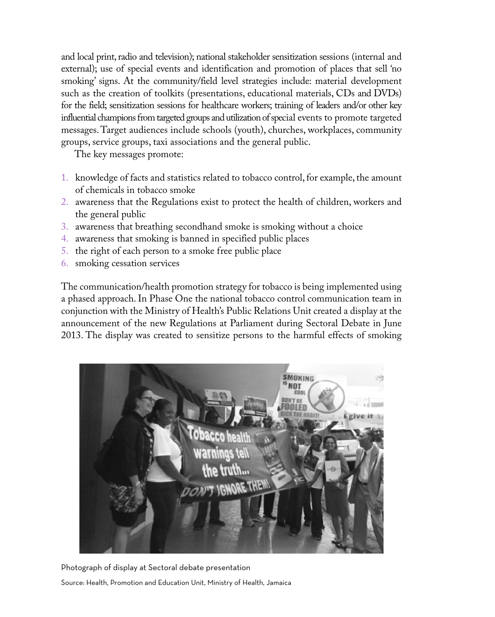and local print, radio and television); national stakeholder sensitization sessions (internal and external); use of special events and identification and promotion of places that sell 'no smoking' signs. At the community/field level strategies include: material development such as the creation of toolkits (presentations, educational materials, CDs and DVDs) for the field; sensitization sessions for healthcare workers; training of leaders and/or other key influential champions from targeted groups and utilization of special events to promote targeted messages. Target audiences include schools (youth), churches, workplaces, community groups, service groups, taxi associations and the general public.

The key messages promote:

- 1. knowledge of facts and statistics related to tobacco control, for example, the amount of chemicals in tobacco smoke
- 2. awareness that the Regulations exist to protect the health of children, workers and the general public
- 3. awareness that breathing secondhand smoke is smoking without a choice
- 4. awareness that smoking is banned in specified public places
- 5. the right of each person to a smoke free public place
- 6. smoking cessation services

The communication/health promotion strategy for tobacco is being implemented using a phased approach. In Phase One the national tobacco control communication team in conjunction with the Ministry of Health's Public Relations Unit created a display at the announcement of the new Regulations at Parliament during Sectoral Debate in June 2013. The display was created to sensitize persons to the harmful effects of smoking



Photograph of display at Sectoral debate presentation

Source: Health, Promotion and Education Unit, Ministry of Health, Jamaica